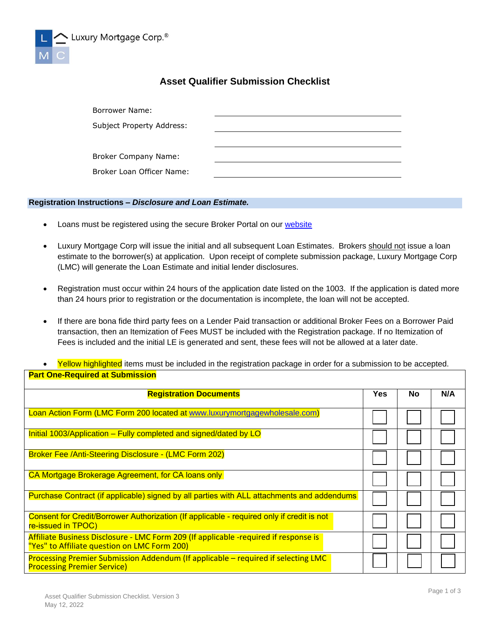

## **Asset Qualifier Submission Checklist**

| Borrower Name:              |  |
|-----------------------------|--|
| Subject Property Address:   |  |
|                             |  |
| <b>Broker Company Name:</b> |  |
| Broker Loan Officer Name:   |  |

## **Registration Instructions –** *Disclosure and Loan Estimate.*

- Loans must be registered using the secure Broker Portal on our [website](http://www.luxurymortgagewholesale.com/)
- Luxury Mortgage Corp will issue the initial and all subsequent Loan Estimates. Brokers should not issue a loan estimate to the borrower(s) at application. Upon receipt of complete submission package, Luxury Mortgage Corp (LMC) will generate the Loan Estimate and initial lender disclosures.
- Registration must occur within 24 hours of the application date listed on the 1003. If the application is dated more than 24 hours prior to registration or the documentation is incomplete, the loan will not be accepted.
- If there are bona fide third party fees on a Lender Paid transaction or additional Broker Fees on a Borrower Paid transaction, then an Itemization of Fees MUST be included with the Registration package. If no Itemization of Fees is included and the initial LE is generated and sent, these fees will not be allowed at a later date.
- Yellow highlighted items must be included in the registration package in order for a submission to be accepted. **Part One-Required at Submission**

| <b>Registration Documents</b>                                                                                                        |  | <b>No</b> | N/A |
|--------------------------------------------------------------------------------------------------------------------------------------|--|-----------|-----|
| Loan Action Form (LMC Form 200 located at www.luxurymortgagewholesale.com)                                                           |  |           |     |
| Initial 1003/Application - Fully completed and signed/dated by LO                                                                    |  |           |     |
| <b>Broker Fee /Anti-Steering Disclosure - (LMC Form 202)</b>                                                                         |  |           |     |
| <b>CA Mortgage Brokerage Agreement, for CA loans only</b>                                                                            |  |           |     |
| Purchase Contract (if applicable) signed by all parties with ALL attachments and addendums                                           |  |           |     |
| Consent for Credit/Borrower Authorization (If applicable - required only if credit is not<br>re-issued in TPOC)                      |  |           |     |
| Affiliate Business Disclosure - LMC Form 209 (If applicable -required if response is<br>"Yes" to Affiliate question on LMC Form 200) |  |           |     |
| Processing Premier Submission Addendum (If applicable – required if selecting LMC<br><b>Processing Premier Service)</b>              |  |           |     |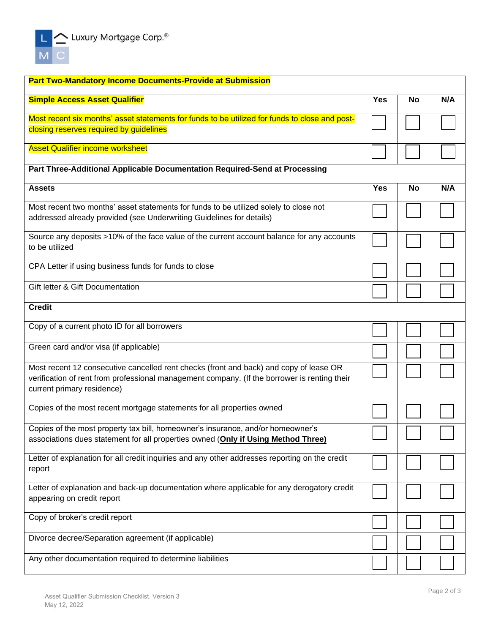

| <b>Part Two-Mandatory Income Documents-Provide at Submission</b>                                                                                                                                                     |            |           |     |
|----------------------------------------------------------------------------------------------------------------------------------------------------------------------------------------------------------------------|------------|-----------|-----|
| <b>Simple Access Asset Qualifier</b>                                                                                                                                                                                 |            | <b>No</b> | N/A |
| Most recent six months' asset statements for funds to be utilized for funds to close and post-<br>closing reserves required by guidelines                                                                            |            |           |     |
| <b>Asset Qualifier income worksheet</b>                                                                                                                                                                              |            |           |     |
| Part Three-Additional Applicable Documentation Required-Send at Processing                                                                                                                                           |            |           |     |
| <b>Assets</b>                                                                                                                                                                                                        | <b>Yes</b> | <b>No</b> | N/A |
| Most recent two months' asset statements for funds to be utilized solely to close not<br>addressed already provided (see Underwriting Guidelines for details)                                                        |            |           |     |
| Source any deposits >10% of the face value of the current account balance for any accounts<br>to be utilized                                                                                                         |            |           |     |
| CPA Letter if using business funds for funds to close                                                                                                                                                                |            |           |     |
| Gift letter & Gift Documentation                                                                                                                                                                                     |            |           |     |
| <b>Credit</b>                                                                                                                                                                                                        |            |           |     |
| Copy of a current photo ID for all borrowers                                                                                                                                                                         |            |           |     |
| Green card and/or visa (if applicable)                                                                                                                                                                               |            |           |     |
| Most recent 12 consecutive cancelled rent checks (front and back) and copy of lease OR<br>verification of rent from professional management company. (If the borrower is renting their<br>current primary residence) |            |           |     |
| Copies of the most recent mortgage statements for all properties owned                                                                                                                                               |            |           |     |
| Copies of the most property tax bill, homeowner's insurance, and/or homeowner's<br>associations dues statement for all properties owned (Only if Using Method Three)                                                 |            |           |     |
| Letter of explanation for all credit inquiries and any other addresses reporting on the credit<br>report                                                                                                             |            |           |     |
| Letter of explanation and back-up documentation where applicable for any derogatory credit<br>appearing on credit report                                                                                             |            |           |     |
| Copy of broker's credit report                                                                                                                                                                                       |            |           |     |
| Divorce decree/Separation agreement (if applicable)                                                                                                                                                                  |            |           |     |
| Any other documentation required to determine liabilities                                                                                                                                                            |            |           |     |